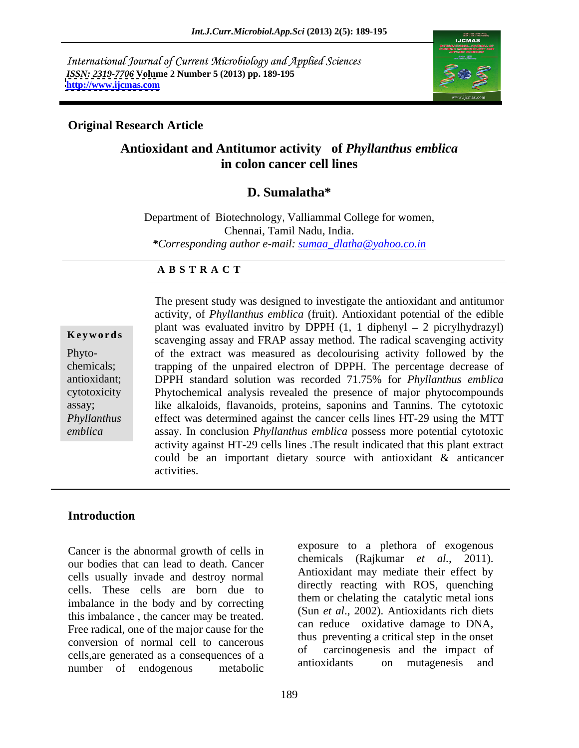International Journal of Current Microbiology and Applied Sciences *ISSN: 2319-7706* **Volume 2 Number 5 (2013) pp. 189-195 <http://www.ijcmas.com>**



#### **Original Research Article**

# **Antioxidant and Antitumor activity of** *Phyllanthus emblica*  **in colon cancer cell lines**

# **D. Sumalatha\***

Department of Biotechnology, Valliammal College for women, Chennai, Tamil Nadu, India. *\*Corresponding author e-mail: sumaa\_dlatha@yahoo.co.in*

#### **A B S T R A C T**

assay; like alkaloids, flavanoids, proteins, saponins and Tannins. The cytotoxic Phyllanthus effect was determined against the cancer cells lines HT-29 using the MTT **Keywords**<br>
scavenging assay and FRAP assay method. The radical scavenging activity Phyto- of the extract was measured as decolourising activity followed by the chemicals; trapping of the unpaired electron of DPPH. The percentage decrease of antioxidant; DPPH standard solution was recorded 71.75% for *Phyllanthus emblica* cytotoxicity Phytochemical analysis revealed the presence of major phytocompounds *emblica* assay. In conclusion *Phyllanthus emblica* possess more potential cytotoxic The present study was designed to investigate the antioxidant and antitumor activity*,* of *Phyllanthus emblica* (fruit). Antioxidant potential of the edible plant was evaluated invitro by DPPH  $(1, 1$  diphenyl – 2 picrylhydrazyl) activity against HT-29 cells lines .The result indicated that this plant extract could be an important dietary source with antioxidant & anticancer activities.

### **Introduction**

Cancer is the abnormal growth of cells in our bodies that can lead to death. Cancer cells usually invade and destroy normal cells. These cells are born due to imbalance in the body and by correcting this imbalance , the cancer may be treated. Free radical, one of the major cause for the conversion of normal cell to cancerous thus cells, are generated as a consequences of a<br>antioxidants on mutagenesis and<br>antioxidants on mutagenesis and number of endogenous metabolic

exposure to a plethora of exogenous chemicals (Rajkumar *et al.,* 2011). Antioxidant may mediate their effect by directly reacting with ROS, quenching them or chelating the catalytic metal ions (Sun *et al*., 2002). Antioxidants rich diets can reduce oxidative damage to DNA, thus preventing a critical step in the onset carcinogenesis and the impact of antioxidants on mutagenesis and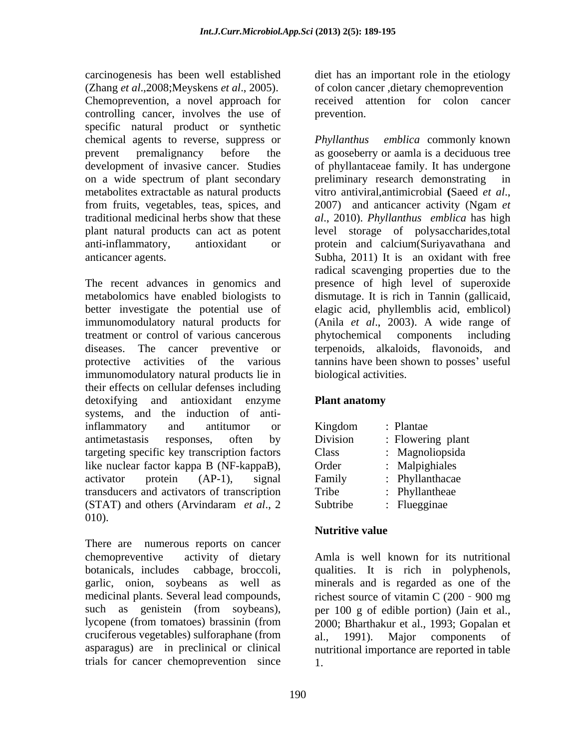carcinogenesis has been well established (Zhang *et al*.,2008;Meyskens *et al*., 2005). Chemoprevention, a novel approach for controlling cancer, involves the use of prevention. specific natural product or synthetic chemical agents to reverse, suppress or *Phyllanthus emblica* commonly known on a wide spectrum of plant secondary preliminary research demonstrating in metabolites extractable as natural products vitro antiviral, antimicrobial (Saeed *et al.*, from fruits, vegetables, teas, spices, and 2007) and anticancer activity (Ngam et

The recent advances in genomics and presence of high level of superoxide metabolomics have enabled biologists to dismutage. It is rich in Tannin (gallicaid, better investigate the potential use of elagic acid, phyllemblis acid, emblicol) immunomodulatory natural products for (Anila *et al*., 2003). A wide range of treatment or control of various cancerous phytochemical components including diseases. The cancer preventive or terpenoids, alkaloids, flavonoids, and protective activities of the various tannins have been shown to posses' useful immunomodulatory natural products lie in their effects on cellular defenses including detoxifying and antioxidant enzyme **Plant anatomy** systems, and the induction of antiinflammatory and antitumor or Kingdom : Plantae antimetastasis responses, often by targeting specific key transcription factors like nuclear factor kappa B (NF-kappaB), activator protein (AP-1), signal Family : Phyllanthacae transducers and activators of transcription (STAT) and others (Arvindaram *et al*., 2

010).<br>There are numerous reports on cancer<br>There are numerous reports on cancer chemopreventive activity of dietary Amla is well known for its nutritional botanicals, includes cabbage, broccoli, garlic, onion, soybeans as well as minerals and is regarded as one of the medicinal plants. Several lead compounds,  $\frac{1}{2}$  richest source of vitamin C (200 - 900 mg) such as genistein (from soybeans), per 100 g of edible portion) (Jain et al., lycopene (from tomatoes) brassinin (from 2000; Bharthakur et al., 1993; Gopalan et cruciferous vegetables) sulforaphane (from al., 1991). Major components of asparagus) are in preclinical or clinical nutritional importance are reported in table trials for cancer chemoprevention since

diet has an important role in the etiology of colon cancer ,dietary chemoprevention received attention for colon cancer prevention.

prevent premalignancy before the as gooseberry or aamla is a deciduous tree development of invasive cancer. Studies of phyllantaceae family. It has undergone traditional medicinal herbs show that these *al*., 2010). *Phyllanthus emblica* has high plant natural products can act as potent level storage of polysaccharides,total anti-inflammatory, antioxidant or protein and calcium(Suriyavathana and anticancer agents. Subha, 2011) It is an oxidant with free *Phyllanthus emblica* commonly known preliminary research demonstrating vitro antiviral,antimicrobial **(**Saeed *et al*., 2007) and anticancer activity (Ngam *et*  radical scavenging properties due to the phytochemical components including biological activities.

# **Plant anatomy**

| Kingdom  | Plantae          |  |  |  |
|----------|------------------|--|--|--|
| Division | Flowering plant  |  |  |  |
| Class    | Magnoliopsida    |  |  |  |
| Order    | Malpighiales     |  |  |  |
| Family   | Phyllanthacae    |  |  |  |
| Tribe    | Phyllantheae     |  |  |  |
| Subtribe | <b>Tuegginae</b> |  |  |  |

### **Nutritive value**

qualities. It is rich in polyphenols, al., 1991). Major components of 1.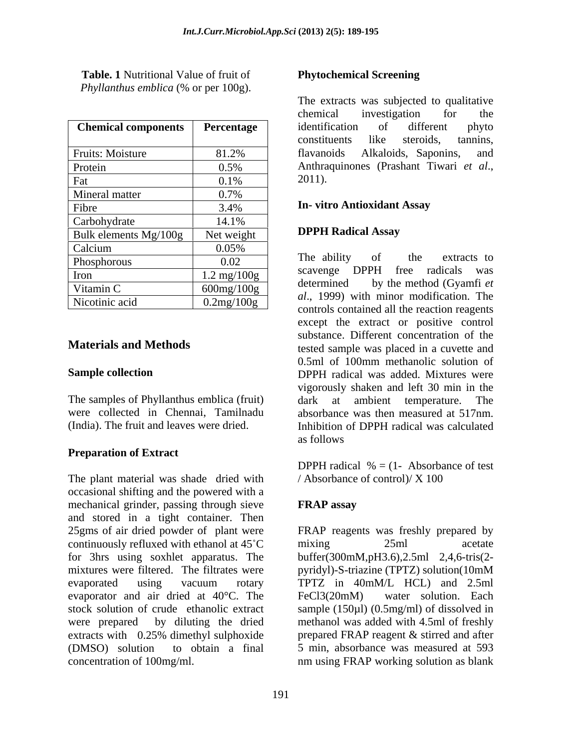**Table. 1** Nutritional Value of fruit of **Phytochemical Screening** *Phyllanthus emblica* (% or per 100g).

| <b>Chemical components</b>  | Percentage                                                                  | identification<br>different<br>phyto                                                                                                                                                                                                                                                                                        |
|-----------------------------|-----------------------------------------------------------------------------|-----------------------------------------------------------------------------------------------------------------------------------------------------------------------------------------------------------------------------------------------------------------------------------------------------------------------------|
|                             |                                                                             | steroids,<br>like<br>constituents<br>tannins                                                                                                                                                                                                                                                                                |
| Fruits: Moisture            | 81.2%                                                                       | Alkaloids, Saponins, and<br>flavanoids                                                                                                                                                                                                                                                                                      |
| Protein                     | $0.5\%$                                                                     | Anthraquinones (Prashant Tiwari et al.,                                                                                                                                                                                                                                                                                     |
| Fat                         | 0.1%                                                                        | $2011$ ).                                                                                                                                                                                                                                                                                                                   |
| Mineral matter              | 0.7%                                                                        |                                                                                                                                                                                                                                                                                                                             |
| Fibre                       | 3.4%                                                                        | <b>In-vitro Antioxidant Assay</b>                                                                                                                                                                                                                                                                                           |
| Carbohydrate                | 14.1%                                                                       |                                                                                                                                                                                                                                                                                                                             |
| Bulk elements Mg/100g       | Net weight                                                                  | <b>DPPH Radical Assay</b>                                                                                                                                                                                                                                                                                                   |
| Calcium                     | $0.05\%$                                                                    |                                                                                                                                                                                                                                                                                                                             |
| Phosphorous                 | 0.02                                                                        | The ability<br>extracts to<br>the                                                                                                                                                                                                                                                                                           |
| Iron                        |                                                                             | free radicals was<br><b>DPPH</b><br>scavenge                                                                                                                                                                                                                                                                                |
|                             |                                                                             |                                                                                                                                                                                                                                                                                                                             |
|                             |                                                                             |                                                                                                                                                                                                                                                                                                                             |
| Vitamin C<br>Nicotinic acid | $1.2 \text{ mg}/100 \text{g}$<br>600mg/100g<br>$0.2 \text{mg}/100 \text{g}$ | by the method (Gyamfi et<br>determined<br>al., 1999) with minor modification. The<br>$\sim$ and $\sim$ 1. $\sim$ and $\sim$ 1. $\sim$ 1. That is a set of the set of the set of the set of the set of the set of the set of the set of the set of the set of the set of the set of the set of the set of the set of the set |

The samples of Phyllanthus emblica (fruit) dark at ambient temperature. The

#### **Preparation of Extract**

The plant material was shade dried with occasional shifting and the powered with a mechanical grinder, passing through sieve **FRAP assay** and stored in a tight container. Then 25gms of air dried powder of plant were FRAP reagents was freshly prepared by continuously refluxed with ethanol at 45<sup>°</sup>C mixing 25<sup>m</sup> 25<sup>m</sup> acetate for 3hrs using soxhlet apparatus. The buffer(300mM,pH3.6),2.5ml 2,4,6-tris(2 mixtures were filtered. The filtrates were pyridyl)-S-triazine (TPTZ) solution(10mM evaporated using vacuum rotary TPTZ in 40mM/L HCL) and 2.5ml evaporator and air dried at 40°C. The FeCl3(20mM) water solution. Each stock solution of crude ethanolic extract sample (150µl) (0.5mg/ml) of dissolved in were prepared by diluting the dried methanol was added with 4.5ml of freshly extracts with 0.25% dimethyl sulphoxide prepared FRAP reagent & stirred and after (DMSO) solution to obtain a final 5 min, absorbance was measured at 593 concentration of 100mg/ml. nm using FRAP working solution as blank

### **Phytochemical Screening**

**Chemical components Percentage** identification of different phyto Fruits: Moisture The Research Alkaloids, Saponins, and The Research Alkaloids, Saponins, and Protein 1.5% Anthraquinones (Prashant Tiwari et al., The extracts was subjected to qualitative chemical investigation for the identification of different phyto constituents like steroids, tannins, flavanoids Alkaloids, Saponins, and Anthraquinones (Prashant Tiwari *et al*., 2011).

#### **In- vitro Antioxidant Assay**

## **DPPH Radical Assay**

Phosphorous  $\begin{vmatrix} 0.02 \\ 0.02 \end{vmatrix}$  ine abouty of the extracts to Iron  $1.2 \text{ mg}/100g$  scavelige DFFH liet radicals was Vitamin C 600mg/100g Nicotinic acid 0.2mg/100g **Materials and Methods** external tested sample was placed in a cuvette and **Sample collection** were collected in Chennai, Tamilnadu absorbance was then measured at 517nm. (India). The fruit and leaves were dried. Inhibition of DPPH radical was calculated The ability of the extracts to scavenge DPPH free radicals was determined by the method (Gyamfi *et al*., 1999) with minor modification. The controls contained all the reaction reagents except the extract or positive control substance. Different concentration of the 0.5ml of 100mm methanolic solution of vigorously shaken and left 30 min in the dark at ambient temperature. The as follows

> DPPH radical  $\% = (1 - Absorbance \text{ of } test$ / Absorbance of control)/ X 100

### **FRAP assay**

mixing 25ml acetate TPTZ in 40mM/L HCL) and 2.5ml FeCl3(20mM) water solution. Each prepared FRAP reagent & stirred and after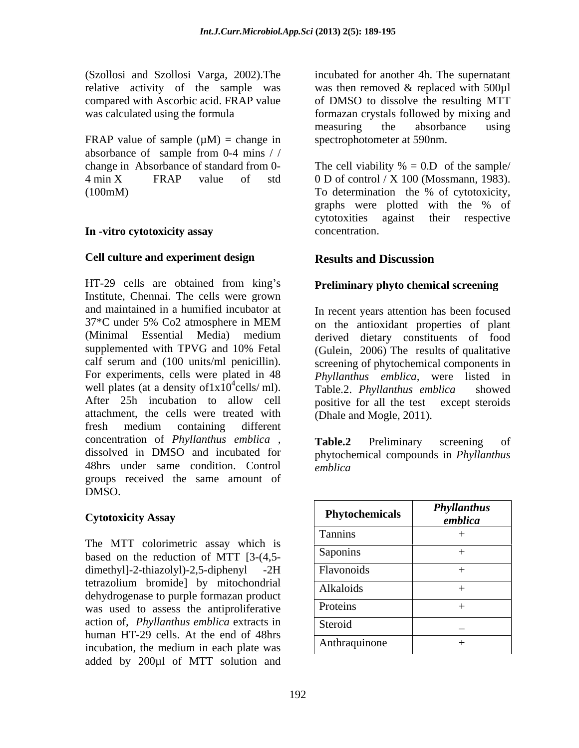FRAP value of sample  $(\mu M)$  = change in absorbance of sample from 0-4 mins / /

## **In -vitro cytotoxicity assay**

#### **Cell culture and experiment design**

HT-29 cells are obtained from king's Institute, Chennai. The cells were grown and maintained in a humified incubator at  $37\text{*}C$  under 5% Co2 atmosphere in MEM on the antioxidant properties of plant (Minimal Essential Media) medium derived dietary constituents of food supplemented with TPVG and 10% Fetal (Gulein, 2006) The results of qualitative calf serum and (100 units/ml penicillin). screening of phytochemical components in For experiments, cells were plated in 48 *Phyllanthus emblica,* were listed in well plates (at a density of  $1x10^4$ cells/ml). Table 2. Phyllanthus emblica showed After 25h incubation to allow cell positive for all the test except steroids attachment, the cells were treated with fresh medium containing different concentration of *Phyllanthus emblica ,* dissolved in DMSO and incubated for phytochemical compounds in *Phyllanthus*  48hrs under same condition. Control *emblica* groups received the same amount of DMSO.

The MTT colorimetric assay which is based on the reduction of MTT [3-(4,5 dimethyl]-2-thiazolyl)-2,5-diphenyl -2H tetrazolium bromide] by mitochondrial dehydrogenase to purple formazan product was used to assess the antiproliferative action of*, Phyllanthus emblica* extracts in human HT-29 cells. At the end of 48hrs incubation, the medium in each plate was added by 200µl of MTT solution and

(Szollosi and Szollosi Varga, 2002).The incubated for another 4h. The supernatant relative activity of the sample was was then removed & replaced with 500µl compared with Ascorbic acid. FRAP value of DMSO to dissolve the resulting MTT was calculated using the formula formazan crystals followed by mixing and measuring the absorbance using spectrophotometer at 590nm.

change in Absorbance of standard from 0- The cell viability  $% = 0.D$  of the sample/  $4 \text{ min } X$  FRAP value of std  $0 \text{ D of control } / X 100 \text{ (Mossmann, 1983)}.$ (100mM) To determination the % of cytotoxicity, graphs were plotted with the % of cytotoxities against their respective concentration.

# **Results and Discussion**

#### **Preliminary phyto chemical screening**

 $\frac{4}{11}$   $\frac{4}{11}$   $\frac{1}{11}$   $\frac{1}{11}$   $\frac{1}{11}$   $\frac{1}{11}$   $\frac{1}{11}$ cells/ ml). Table.2. *Phyllanthus emblica* showed In recent years attention has been focused on the antioxidant properties of plant positive for all the test (Dhale and Mogle, 2011).

**Table.2** Preliminary screening of *emblica* 

| <b>Cytotoxicity Assay</b>                                                          | Phytochemicals    | <b>Phyllanthus</b><br>emblica |  |
|------------------------------------------------------------------------------------|-------------------|-------------------------------|--|
|                                                                                    | Tannins           |                               |  |
| The MTT colorimetric assay which is<br>based on the reduction of MTT $[3-(4,5)]$   | Saponins          |                               |  |
| dimethyl]-2-thiazolyl)-2,5-diphenyl -2H                                            | <b>Flavonoids</b> |                               |  |
| tetrazolium bromide] by mitochondrial<br>dehydrogenase to purple formazan product  | Alkaloids         |                               |  |
| was used to assess the antiproliferative                                           | Proteins          |                               |  |
| action of, Phyllanthus emblica extracts in                                         | Steroid           |                               |  |
| human HT-29 cells. At the end of 48hrs<br>incubation, the medium in each plate was | Anthraquinone     |                               |  |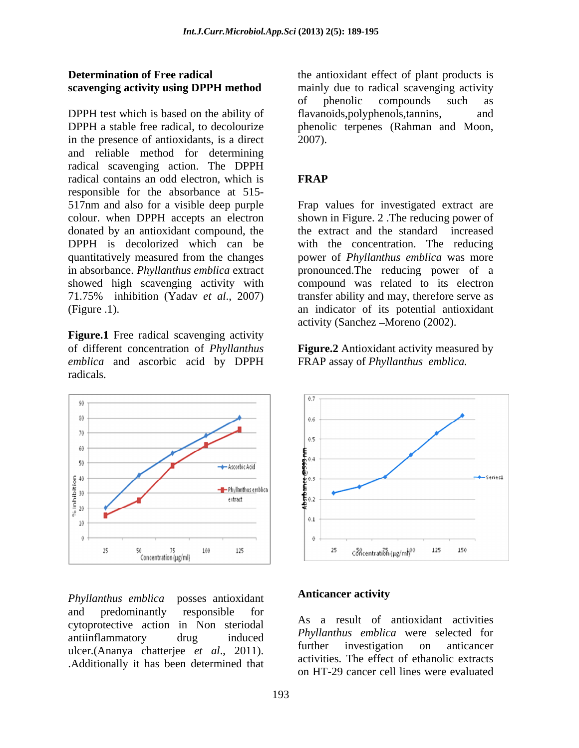DPPH test which is based on the ability of flavanoids, polyphenols, tannins, and DPPH a stable free radical, to decolourize phenolic terpenes (Rahman and Moon, in the presence of antioxidants, is a direct 2007). and reliable method for determining radical scavenging action. The DPPH radical contains an odd electron, which is **FRAP** responsible for the absorbance at 515- 517nm and also for a visible deep purple Frap values for investigated extract are colour. when DPPH accepts an electron shown in Figure. 2 .The reducing power of donated by an antioxidant compound, the the extract and the standard increased DPPH is decolorized which can be with the concentration. The reducing quantitatively measured from the changes power of *Phyllanthus emblica* was more in absorbance. *Phyllanthus emblica* extract pronounced.The reducing power of a showed high scavenging activity with compound was related to its electron 71.75% inhibition (Yadav *et al*., 2007) transfer ability and may, therefore serve as (Figure .1). an indicator of its potential antioxidant

**Figure.1** Free radical scavenging activity of different concentration of *Phyllanthus*  **Figure.2** Antioxidant activity measured by *emblica* and ascorbic acid by DPPH radicals.



*Phyllanthus emblica* posses antioxidant and predominantly responsible for cytoprotective action in Non steriodal antiinflammatory drug induced *ruyuuninus embited* were selected for undertainment and the contract of the set *al*., 2011). Further investigation on anticancer .Additionally it has been determined that

**Determination of Free radical** the antioxidant effect of plant products is **scavenging activity using DPPH method**  mainly due to radical scavenging activity of phenolic compounds such as flavanoids, polyphenols, tannins, 2007).

# **FRAP**

activity (Sanchez - Moreno (2002).

FRAP assay of *Phyllanthus emblica.*



### **Anticancer activity**

As a result of antioxidant activities *Phyllanthus emblica* were selected for further investigation on anticancer activities. The effect of ethanolic extracts on HT-29 cancer cell lines were evaluated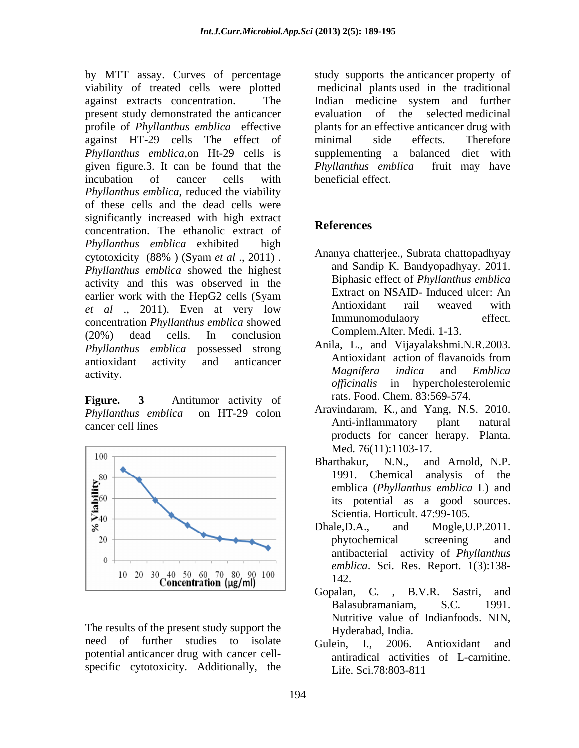viability of treated cells were plotted against extracts concentration. The present study demonstrated the anticancer profile of *Phyllanthus emblica* effective plants for an effective anticancer drug with against HT-29 cells The effect of minimal side effects. Therefore *Phyllanthus emblica*,on Ht-29 cells is given figure.3. It can be found that the *Phyllanthus emblica* fruit may have incubation of cancer cells with beneficial effect. *Phyllanthus emblica*, reduced the viability of these cells and the dead cells were significantly increased with high extract<br>
References concentration. The ethanolic extract of *Phyllanthus emblica* exhibited high cytotoxicity (88% ) (Syam *et al* ., 2011) . *Phyllanthus emblica* showed the highest activity and this was observed in the earlier work with the HepG2 cells (Syam Extract on NSAID- Induced ulcer: An *et al* ., 2011). Even at very low **Antioxidant** rail weaved with concentration *Phyllanthus amblias* showed Immunomodulaory effect. concentration *Phyllanthus emblica* showed  $(20%)$  dead cells. In conclusion Complem.Alter. Meal. 1-15. *Phyllanthus emblica* possessed strong Anila, L., and Vijayalakshmi.N.R.2003.<br>Antioxidant action of flavanoids from antioxidant activity and anticancer Antioxidant action of Havanoids from activity. The contract of the magnitude of the matrix and the molecular matrix  $\frac{m}{2}$  and  $\frac{m}{2}$  matrix  $\frac{m}{2}$  matrix  $\frac{m}{2}$  matrix  $\frac{m}{2}$  matrix  $\frac{m}{2}$  matrix  $\frac{m}{2}$  matrix  $\frac{m}{2}$  matrix  $\frac{m}{2}$ 

**Figure. 3** Antitumor activity of Tats Food Chem. 83:509-574.



The results of the present study support the need of further studies to isolate Gulein. I. 2006. Antioxidant and potential anticancer drug with cancer cell specific cytotoxicity. Additionally, the

by MTT assay. Curves of percentage study supports the anticancer property of medicinal plants used in the traditional Indian medicine system and further of the selected medicinal minimal side effects. Therefore supplementing a balanced diet with *Phyllanthus emblica* fruit may have beneficial effect.

# **References**

- Ananya chatterjee., Subrata chattopadhyay and Sandip K. Bandyopadhyay. 2011. Biphasic effect of *Phyllanthus emblica* Extract on NSAID- Induced ulcer: An Antioxidant rail weaved with Immunomodulaory effect. Complem.Alter. Medi. 1-13.
- Anila, L., and Vijayalakshmi.N.R.2003. Antioxidant action of flavanoids from *Magnifera indica* and *Emblica officinalis* in hypercholesterolemic rats. Food. Chem. 83:569-574.
- *Phyllanthus emblica* on HT-29 colon cancer cell lines **and a set of the Cancer cell** lines **cancer** cell lines Aravindaram, K., and Yang, N.S. 2010. Anti-inflammatory plant natural products for cancer herapy. Planta. Med. 76(11):1103-17.
	- Bharthakur, N.N., and Arnold, N.P. 1991. Chemical analysis of the emblica (*Phyllanthus emblica* L) and its potential as a good sources. Scientia. Horticult. 47:99-105.
	- Dhale,D.A., and Mogle,U.P.2011. phytochemical screening and antibacterial activity of *Phyllanthus emblica*. Sci. Res. Report. 1(3):138- 142.
	- Gopalan, C. , B.V.R. Sastri, and Balasubramaniam, S.C. 1991. Nutritive value of Indianfoods. NIN, Hyderabad, India.
	- Gulein, I., 2006. Antioxidant and antiradical activities of L-carnitine. Life. Sci.78:803-811